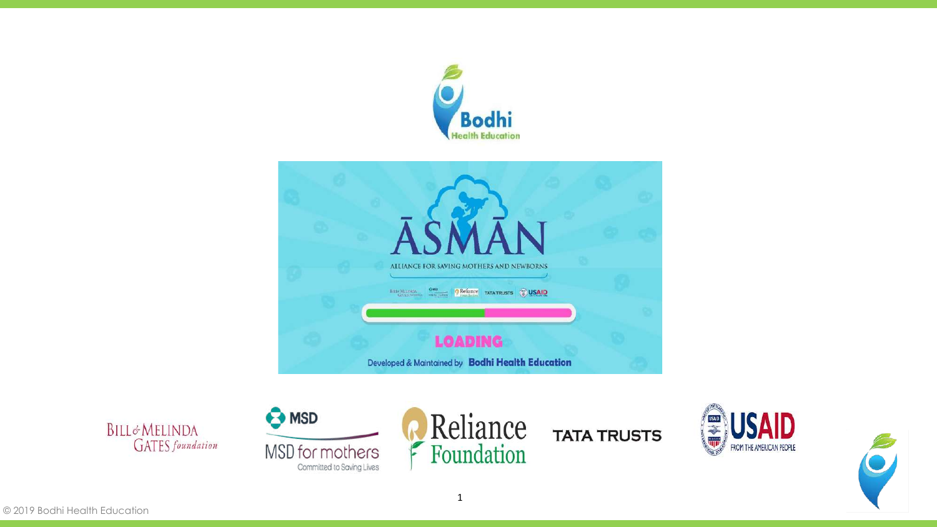







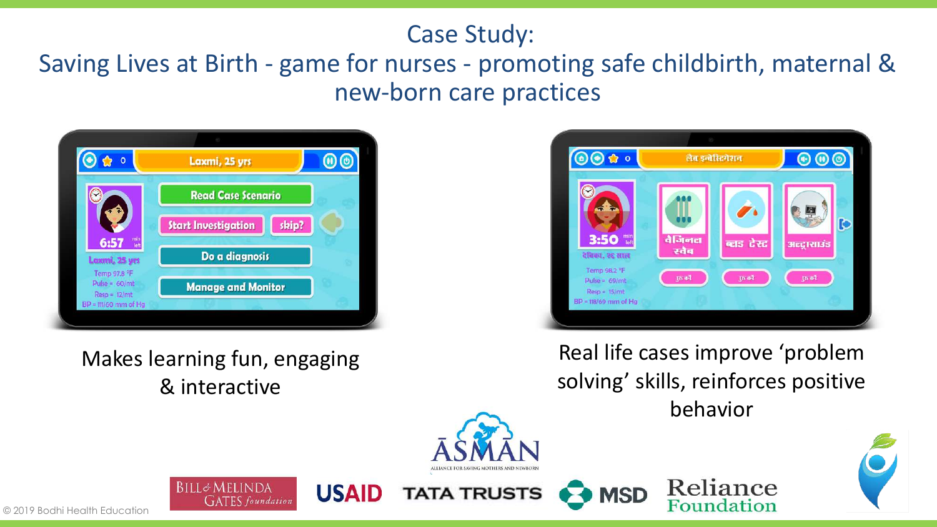### Case Study:

## Saving Lives at Birth - game for nurses - promoting safe childbirth, maternal & new-born care practices



#### Makes learning fun, engaging & interactive

**BILL&MELINDA** 

**GATES** foundation



Real life cases improve 'problem solving' skills, reinforces positive behavior

Reliance

Foundation

**MSD** 



**TATA TRUSTS** 

**USAID** 

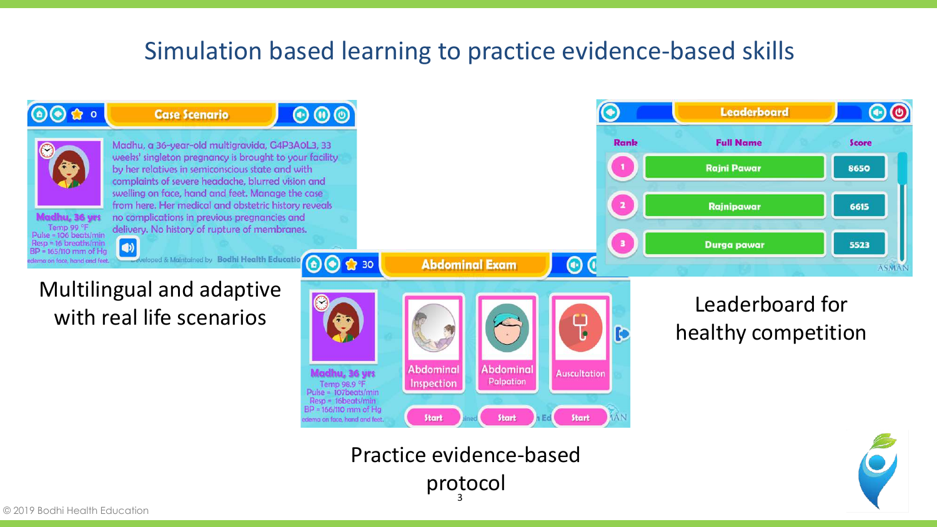## Simulation based learning to practice evidence-based skills



3 Practice evidence-based protocol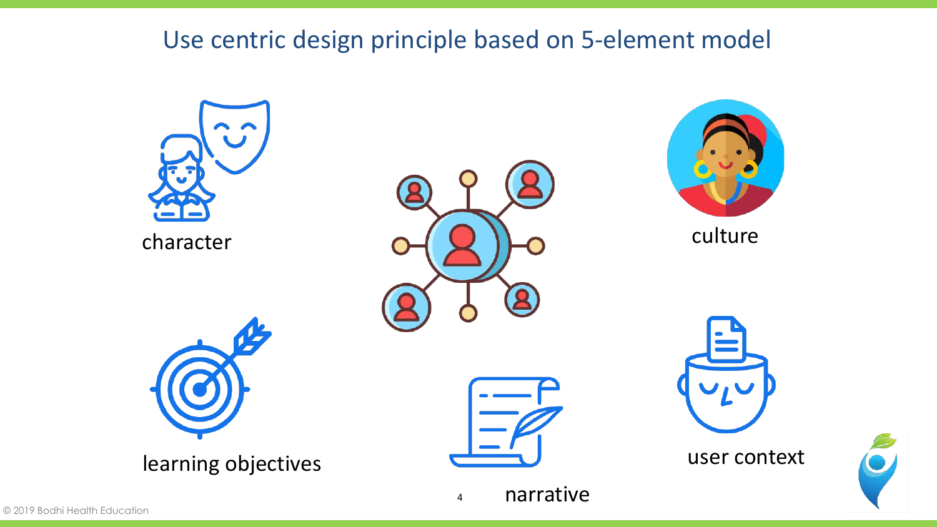## Use centric design principle based on 5-element model

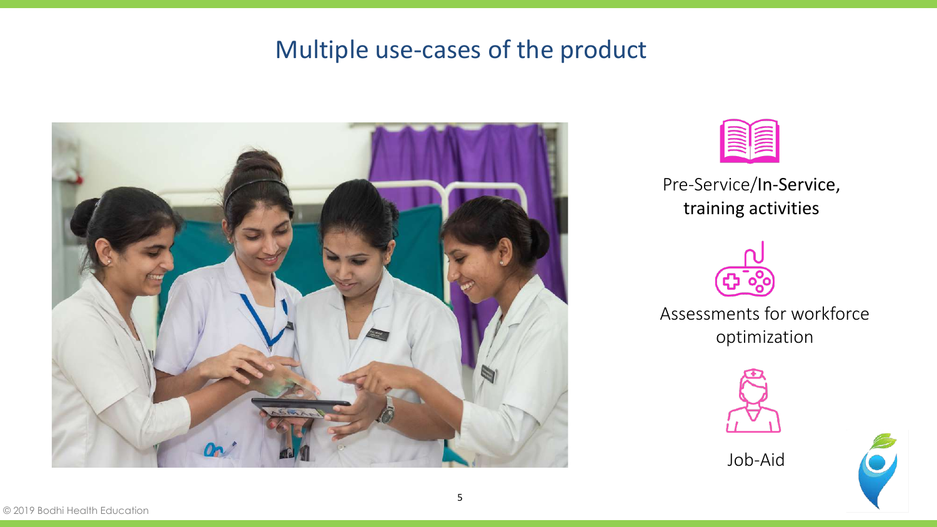## Multiple use-cases of the product





Pre-Service/In-Service, training activities



Assessments for workforce optimization



Job-Aid

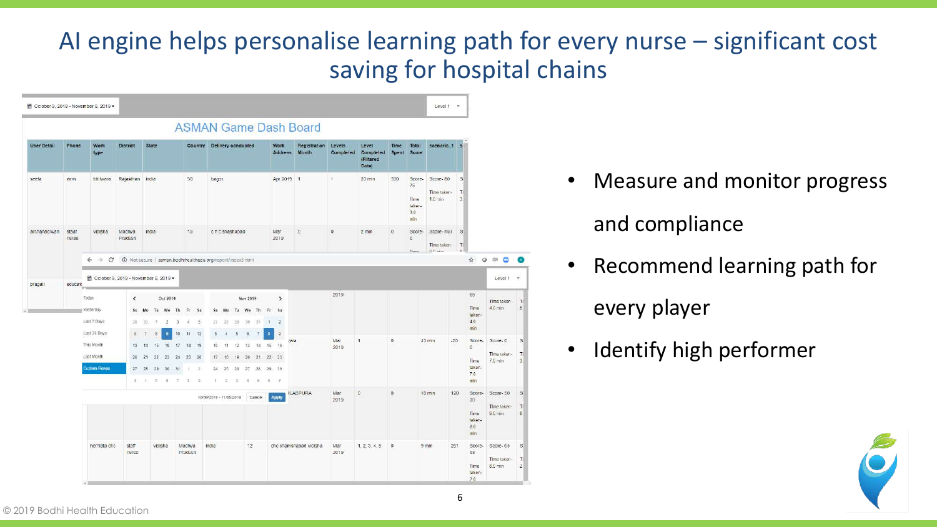## AI engine helps personalise learning path for every nurse – significant cost saving for hospital chains



- Measure and monitor progress and compliance
- Recommend learning path for
	- every player
- Identify high performer

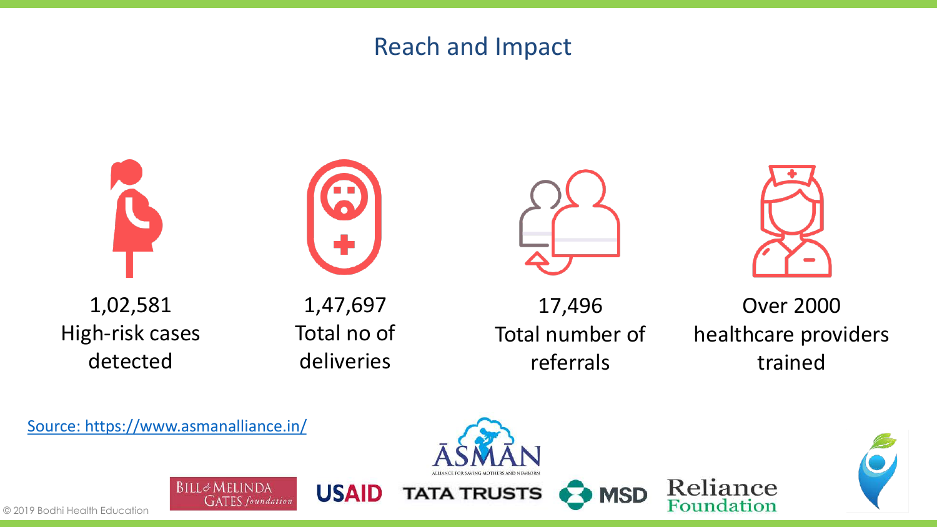#### Reach and Impact



[Source: https://www.asmanalliance.in/](https://www.asmanalliance.in/)

**BILL&MELINDA** 

**GATES** foundation

**USAID** 





Reliance

Foundation

**MSD**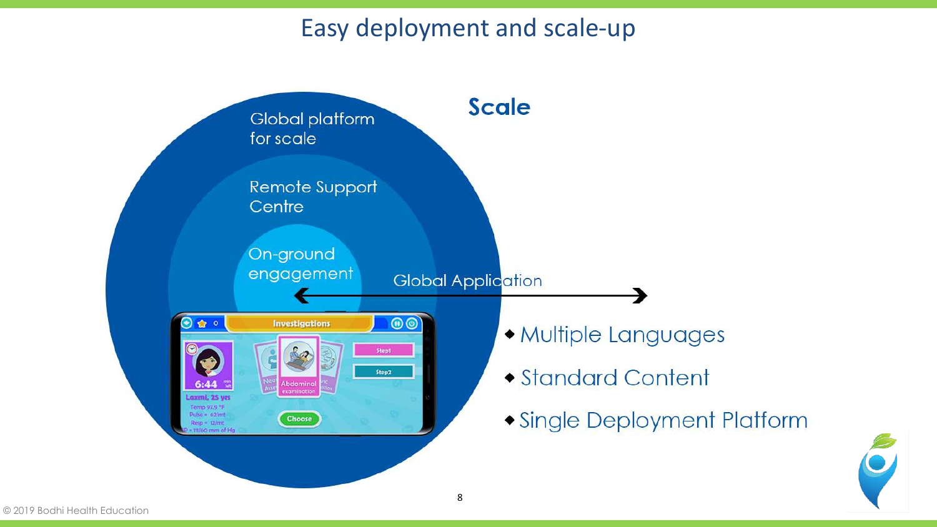## Easy deployment and scale-up